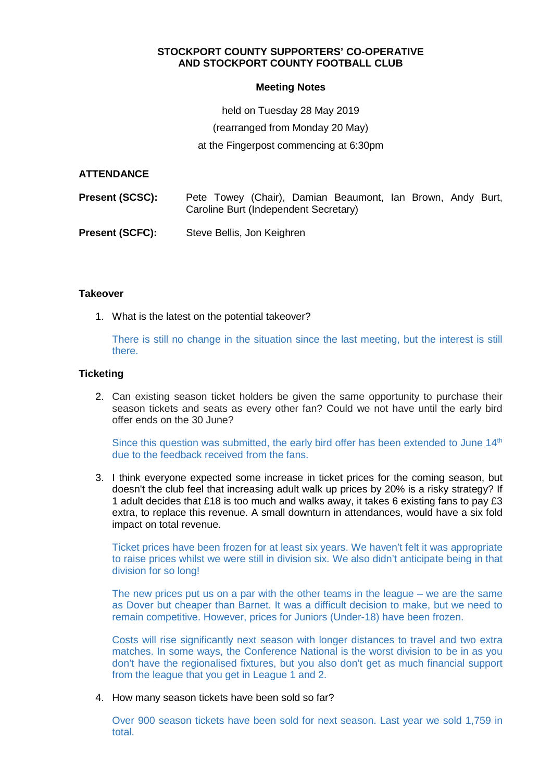# **STOCKPORT COUNTY SUPPORTERS' CO-OPERATIVE AND STOCKPORT COUNTY FOOTBALL CLUB**

### **Meeting Notes**

held on Tuesday 28 May 2019

(rearranged from Monday 20 May)

at the Fingerpost commencing at 6:30pm

### **ATTENDANCE**

| <b>Present (SCSC):</b> | Pete Towey (Chair), Damian Beaumont, Ian Brown, Andy Burt,<br>Caroline Burt (Independent Secretary) |
|------------------------|-----------------------------------------------------------------------------------------------------|
| <b>Present (SCFC):</b> | Steve Bellis, Jon Keighren                                                                          |

### **Takeover**

1. What is the latest on the potential takeover?

There is still no change in the situation since the last meeting, but the interest is still there.

### **Ticketing**

2. Can existing season ticket holders be given the same opportunity to purchase their season tickets and seats as every other fan? Could we not have until the early bird offer ends on the 30 June?

Since this question was submitted, the early bird offer has been extended to June  $14<sup>th</sup>$ due to the feedback received from the fans.

3. I think everyone expected some increase in ticket prices for the coming season, but doesn't the club feel that increasing adult walk up prices by 20% is a risky strategy? If 1 adult decides that £18 is too much and walks away, it takes 6 existing fans to pay £3 extra, to replace this revenue. A small downturn in attendances, would have a six fold impact on total revenue.

Ticket prices have been frozen for at least six years. We haven't felt it was appropriate to raise prices whilst we were still in division six. We also didn't anticipate being in that division for so long!

The new prices put us on a par with the other teams in the league  $-$  we are the same as Dover but cheaper than Barnet. It was a difficult decision to make, but we need to remain competitive. However, prices for Juniors (Under-18) have been frozen.

Costs will rise significantly next season with longer distances to travel and two extra matches. In some ways, the Conference National is the worst division to be in as you don't have the regionalised fixtures, but you also don't get as much financial support from the league that you get in League 1 and 2.

4. How many season tickets have been sold so far?

Over 900 season tickets have been sold for next season. Last year we sold 1,759 in total.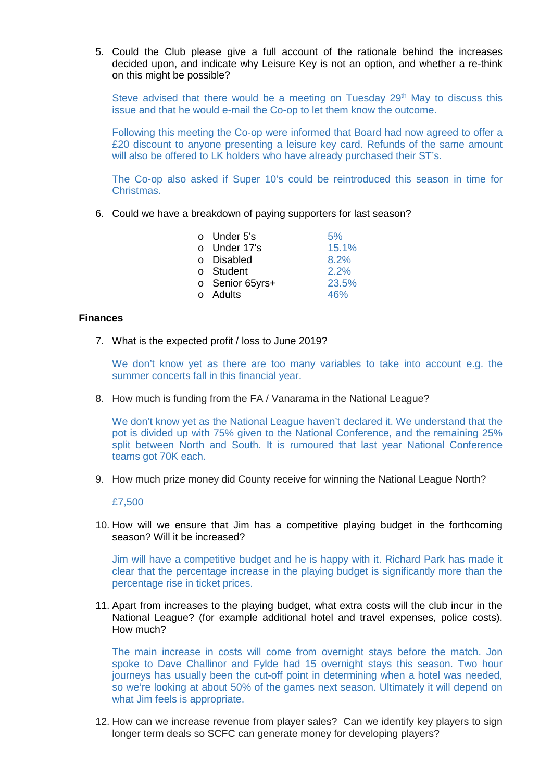5. Could the Club please give a full account of the rationale behind the increases decided upon, and indicate why Leisure Key is not an option, and whether a re-think on this might be possible?

Steve advised that there would be a meeting on Tuesday  $29<sup>th</sup>$  May to discuss this issue and that he would e-mail the Co-op to let them know the outcome.

Following this meeting the Co-op were informed that Board had now agreed to offer a £20 discount to anyone presenting a leisure key card. Refunds of the same amount will also be offered to LK holders who have already purchased their ST's.

The Co-op also asked if Super 10's could be reintroduced this season in time for Christmas.

6. Could we have a breakdown of paying supporters for last season?

| $\circ$ Under 5's | 5%    |
|-------------------|-------|
| o Under 17's      | 15.1% |
| o Disabled        | 8.2%  |
| o Student         | 2.2%  |
| o Senior 65yrs+   | 23.5% |
| $\circ$ Adults    | 46%   |

#### **Finances**

7. What is the expected profit / loss to June 2019?

We don't know yet as there are too many variables to take into account e.g. the summer concerts fall in this financial year.

8. How much is funding from the FA / Vanarama in the National League?

We don't know yet as the National League haven't declared it. We understand that the pot is divided up with 75% given to the National Conference, and the remaining 25% split between North and South. It is rumoured that last year National Conference teams got 70K each.

9. How much prize money did County receive for winning the National League North?

#### £7,500

10. How will we ensure that Jim has a competitive playing budget in the forthcoming season? Will it be increased?

Jim will have a competitive budget and he is happy with it. Richard Park has made it clear that the percentage increase in the playing budget is significantly more than the percentage rise in ticket prices.

11. Apart from increases to the playing budget, what extra costs will the club incur in the National League? (for example additional hotel and travel expenses, police costs). How much?

The main increase in costs will come from overnight stays before the match. Jon spoke to Dave Challinor and Fylde had 15 overnight stays this season. Two hour journeys has usually been the cut-off point in determining when a hotel was needed, so we're looking at about 50% of the games next season. Ultimately it will depend on what Jim feels is appropriate.

12. How can we increase revenue from player sales? Can we identify key players to sign longer term deals so SCFC can generate money for developing players?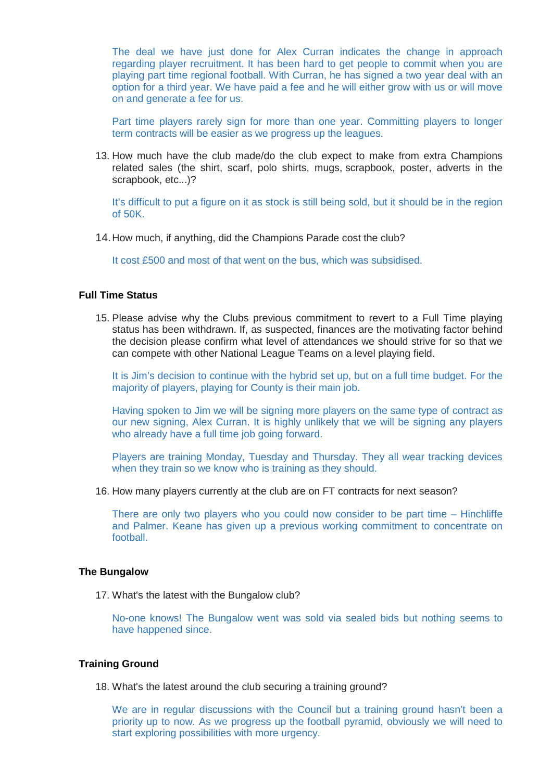The deal we have just done for Alex Curran indicates the change in approach regarding player recruitment. It has been hard to get people to commit when you are playing part time regional football. With Curran, he has signed a two year deal with an option for a third year. We have paid a fee and he will either grow with us or will move on and generate a fee for us.

Part time players rarely sign for more than one year. Committing players to longer term contracts will be easier as we progress up the leagues.

13. How much have the club made/do the club expect to make from extra Champions related sales (the shirt, scarf, polo shirts, mugs, scrapbook, poster, adverts in the scrapbook, etc...)?

It's difficult to put a figure on it as stock is still being sold, but it should be in the region of 50K.

14. How much, if anything, did the Champions Parade cost the club?

It cost £500 and most of that went on the bus, which was subsidised.

## **Full Time Status**

15. Please advise why the Clubs previous commitment to revert to a Full Time playing status has been withdrawn. If, as suspected, finances are the motivating factor behind the decision please confirm what level of attendances we should strive for so that we can compete with other National League Teams on a level playing field.

It is Jim's decision to continue with the hybrid set up, but on a full time budget. For the majority of players, playing for County is their main job.

Having spoken to Jim we will be signing more players on the same type of contract as our new signing, Alex Curran. It is highly unlikely that we will be signing any players who already have a full time job going forward.

Players are training Monday, Tuesday and Thursday. They all wear tracking devices when they train so we know who is training as they should.

16. How many players currently at the club are on FT contracts for next season?

There are only two players who you could now consider to be part time – Hinchliffe and Palmer. Keane has given up a previous working commitment to concentrate on football.

### **The Bungalow**

17. What's the latest with the Bungalow club?

No-one knows! The Bungalow went was sold via sealed bids but nothing seems to have happened since.

## **Training Ground**

18. What's the latest around the club securing a training ground?

We are in regular discussions with the Council but a training ground hasn't been a priority up to now. As we progress up the football pyramid, obviously we will need to start exploring possibilities with more urgency.